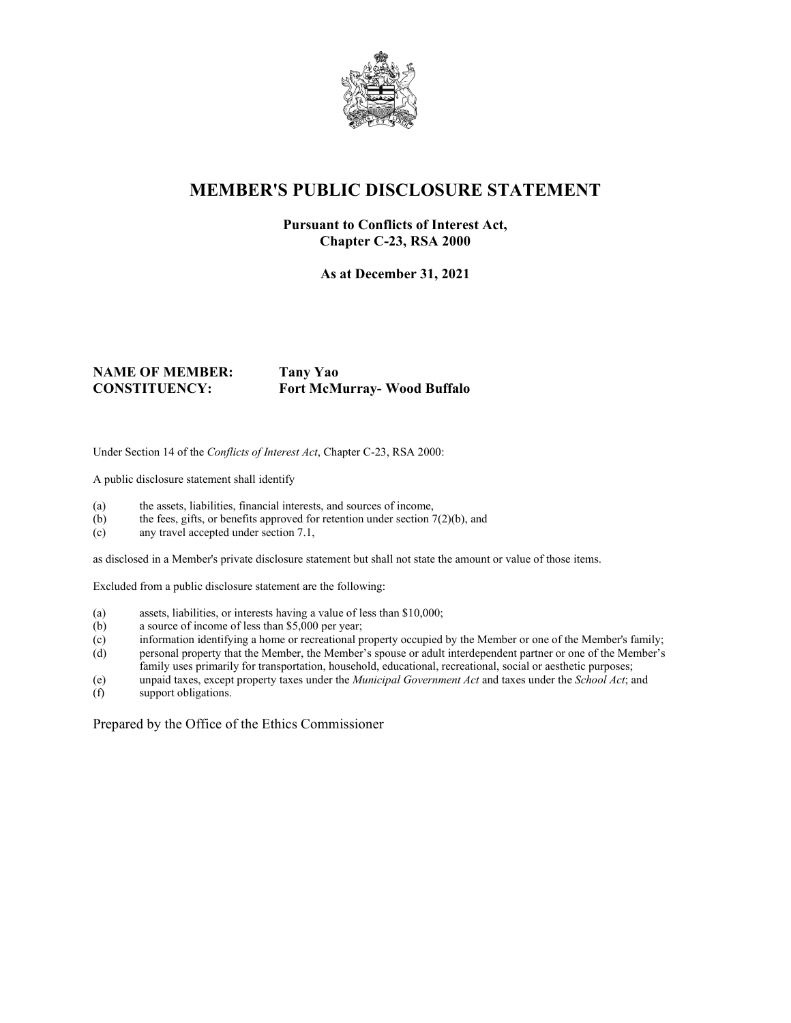

## **MEMBER'S PUBLIC DISCLOSURE STATEMENT**

#### **Pursuant to Conflicts of Interest Act, Chapter C-23, RSA 2000**

**As at December 31, 2021**

#### **NAME OF MEMBER: Tany Yao CONSTITUENCY: Fort McMurray- Wood Buffalo**

Under Section 14 of the *Conflicts of Interest Act*, Chapter C-23, RSA 2000:

A public disclosure statement shall identify

- (a) the assets, liabilities, financial interests, and sources of income,
- (b) the fees, gifts, or benefits approved for retention under section  $7(2)(b)$ , and
- (c) any travel accepted under section 7.1,

as disclosed in a Member's private disclosure statement but shall not state the amount or value of those items.

Excluded from a public disclosure statement are the following:

- (a) assets, liabilities, or interests having a value of less than \$10,000;
- (b) a source of income of less than \$5,000 per year;
- (c) information identifying a home or recreational property occupied by the Member or one of the Member's family;
- (d) personal property that the Member, the Member's spouse or adult interdependent partner or one of the Member's family uses primarily for transportation, household, educational, recreational, social or aesthetic purposes;
- (e) unpaid taxes, except property taxes under the *Municipal Government Act* and taxes under the *School Act*; and
- support obligations.

Prepared by the Office of the Ethics Commissioner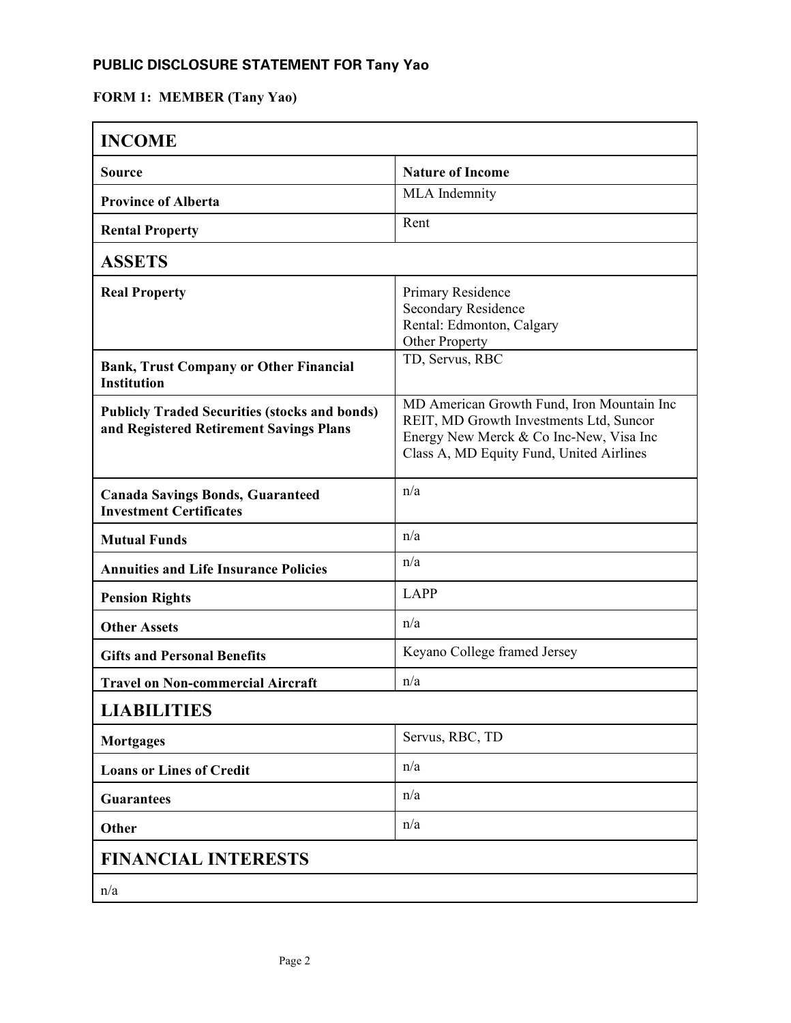### **PUBLIC DISCLOSURE STATEMENT FOR Tany Yao**

# **FORM 1: MEMBER (Tany Yao)**

| <b>INCOME</b>                                                                                   |                                                                                                                                                                              |
|-------------------------------------------------------------------------------------------------|------------------------------------------------------------------------------------------------------------------------------------------------------------------------------|
| <b>Source</b>                                                                                   | <b>Nature of Income</b>                                                                                                                                                      |
| <b>Province of Alberta</b>                                                                      | MLA Indemnity                                                                                                                                                                |
| <b>Rental Property</b>                                                                          | Rent                                                                                                                                                                         |
| <b>ASSETS</b>                                                                                   |                                                                                                                                                                              |
| <b>Real Property</b>                                                                            | Primary Residence<br><b>Secondary Residence</b><br>Rental: Edmonton, Calgary<br>Other Property                                                                               |
| <b>Bank, Trust Company or Other Financial</b><br><b>Institution</b>                             | TD, Servus, RBC                                                                                                                                                              |
| <b>Publicly Traded Securities (stocks and bonds)</b><br>and Registered Retirement Savings Plans | MD American Growth Fund, Iron Mountain Inc<br>REIT, MD Growth Investments Ltd, Suncor<br>Energy New Merck & Co Inc-New, Visa Inc<br>Class A, MD Equity Fund, United Airlines |
| <b>Canada Savings Bonds, Guaranteed</b><br><b>Investment Certificates</b>                       | n/a                                                                                                                                                                          |
| <b>Mutual Funds</b>                                                                             | n/a                                                                                                                                                                          |
| <b>Annuities and Life Insurance Policies</b>                                                    | n/a                                                                                                                                                                          |
| <b>Pension Rights</b>                                                                           | <b>LAPP</b>                                                                                                                                                                  |
| <b>Other Assets</b>                                                                             | n/a                                                                                                                                                                          |
| <b>Gifts and Personal Benefits</b>                                                              | Keyano College framed Jersey                                                                                                                                                 |
| <b>Travel on Non-commercial Aircraft</b>                                                        | n/a                                                                                                                                                                          |
| <b>LIABILITIES</b>                                                                              |                                                                                                                                                                              |
| <b>Mortgages</b>                                                                                | Servus, RBC, TD                                                                                                                                                              |
| <b>Loans or Lines of Credit</b>                                                                 | n/a                                                                                                                                                                          |
| <b>Guarantees</b>                                                                               | n/a                                                                                                                                                                          |
| Other                                                                                           | n/a                                                                                                                                                                          |
| <b>FINANCIAL INTERESTS</b>                                                                      |                                                                                                                                                                              |
| n/a                                                                                             |                                                                                                                                                                              |